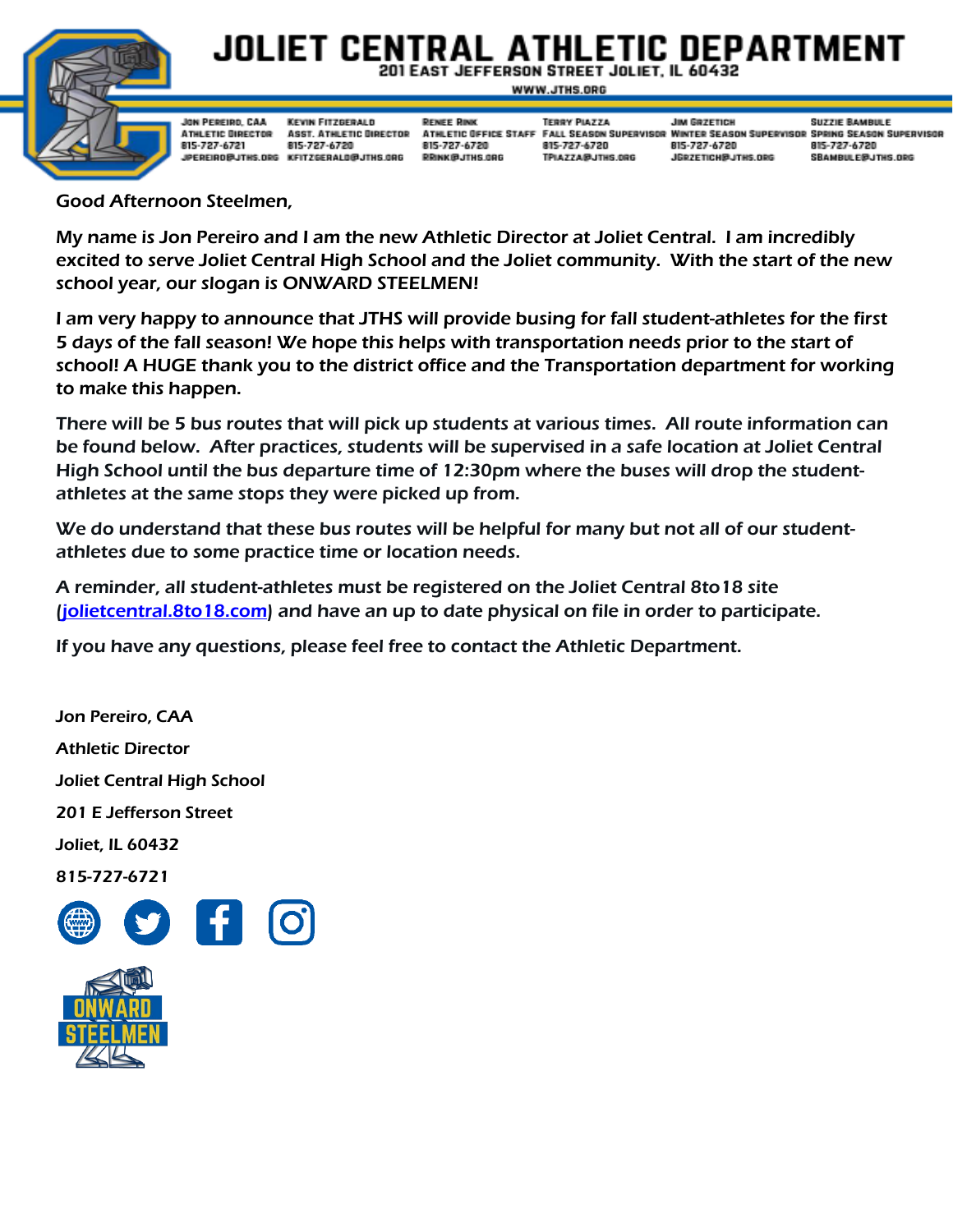

## JOLIET CENTRAL ATHLETIC DEPARTMEN 201 EAST JEFFERSON STREET JOLIET. IL 60432

WWW.JTHS.ORG

| $\sim$                   |                                                              |                                                                                                              |                                                             |                                                         |                                                                                                                                                                    |                                                                   |
|--------------------------|--------------------------------------------------------------|--------------------------------------------------------------------------------------------------------------|-------------------------------------------------------------|---------------------------------------------------------|--------------------------------------------------------------------------------------------------------------------------------------------------------------------|-------------------------------------------------------------------|
| $\overline{\mathcal{L}}$ | JON PEREIRD, CAA<br><b>ATHLETIC DIRECTOR</b><br>815-727-6721 | KEVIN FITZGERALD<br><b>ASST. ATHLETIC DIRECTOR</b><br>815-727-6720<br>JPEREIRO@JTHS.ORG KFITZGERALD@JTHS.ORG | <b>RENEE RINK</b><br>815-727-6720<br><b>RRINK @JTHS.ORG</b> | <b>TERRY PIATTA</b><br>815-727-6720<br>TPIAZZA@JTHS.0RG | <b>JIM GRZETICH</b><br>ATHLETIC OFFICE STAFF FALL SEASON SUPERVISOR WINTER SEASON SUPERVISOR SPRING SEASON SUPERVISOR<br>815-727-6720<br><b>JERZETICHBJTHS.ORG</b> | <b>SUZZIE BAMBULE</b><br>815-727-6720<br><b>SBAMBULE@JTHS.ORG</b> |

## Good Afternoon Steelmen,

My name is Jon Pereiro and I am the new Athletic Director at Joliet Central. I am incredibly excited to serve Joliet Central High School and the Joliet community. With the start of the new school year, our slogan is ONWARD STEELMEN!

I am very happy to announce that JTHS will provide busing for fall student-athletes for the first 5 days of the fall season! We hope this helps with transportation needs prior to the start of school! A HUGE thank you to the district office and the Transportation department for working to make this happen.

There will be 5 bus routes that will pick up students at various times. All route information can be found below. After practices, students will be supervised in a safe location at Joliet Central High School until the bus departure time of 12:30pm where the buses will drop the studentathletes at the same stops they were picked up from.

We do understand that these bus routes will be helpful for many but not all of our studentathletes due to some practice time or location needs.

A reminder, all student-athletes must be registered on the Joliet Central 8to18 site [\(jolietcentral.8to18.com\)](https://jolietcentral.8to18.com/) and have an up to date physical on file in order to participate.

If you have any questions, please feel free to contact the Athletic Department.

Jon Pereiro, CAA Athletic Director Joliet Central High School 201 E Jefferson Street Joliet, IL 60432 815-727-6721